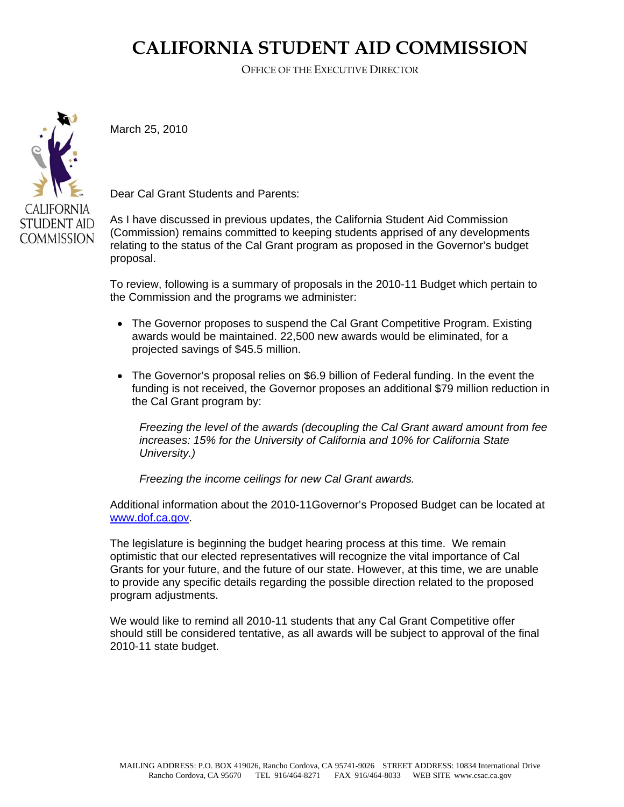## **CALIFORNIA STUDENT AID COMMISSION**

OFFICE OF THE EXECUTIVE DIRECTOR



March 25, 2010

Dear Cal Grant Students and Parents:

As I have discussed in previous updates, the California Student Aid Commission (Commission) remains committed to keeping students apprised of any developments relating to the status of the Cal Grant program as proposed in the Governor's budget proposal.

To review, following is a summary of proposals in the 2010-11 Budget which pertain to the Commission and the programs we administer:

- The Governor proposes to suspend the Cal Grant Competitive Program. Existing awards would be maintained. 22,500 new awards would be eliminated, for a projected savings of \$45.5 million.
- The Governor's proposal relies on \$6.9 billion of Federal funding. In the event the funding is not received, the Governor proposes an additional \$79 million reduction in the Cal Grant program by:

*Freezing the level of the awards (decoupling the Cal Grant award amount from fee increases: 15% for the University of California and 10% for California State University.)* 

*Freezing the income ceilings for new Cal Grant awards.* 

Additional information about the 2010-11Governor's Proposed Budget can be located at [www.dof.ca.gov.](http://www.dof.ca.gov/)

The legislature is beginning the budget hearing process at this time. We remain optimistic that our elected representatives will recognize the vital importance of Cal Grants for your future, and the future of our state. However, at this time, we are unable to provide any specific details regarding the possible direction related to the proposed program adjustments.

We would like to remind all 2010-11 students that any Cal Grant Competitive offer should still be considered tentative, as all awards will be subject to approval of the final 2010-11 state budget.